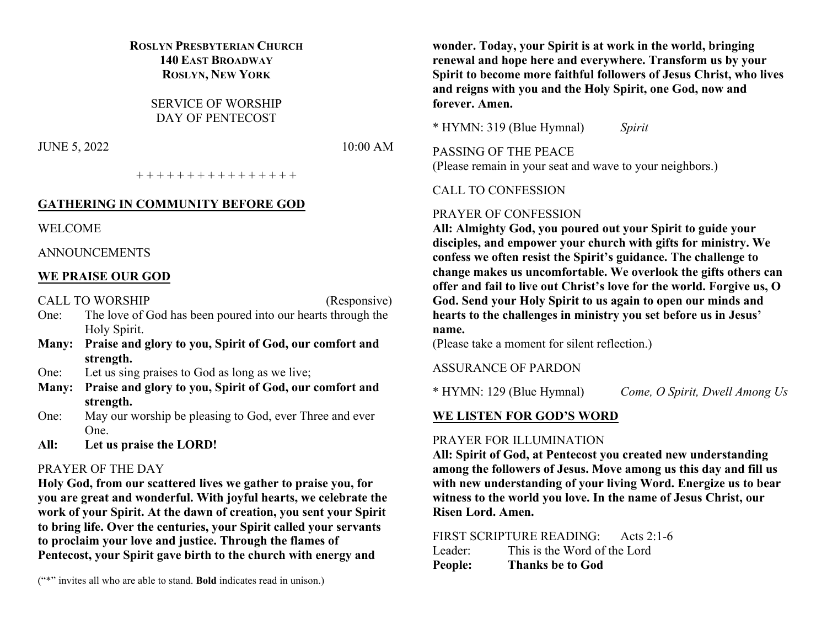## **ROSLYN PRESBYTERIAN CHURCH 140 EAST BROADWAY ROSLYN, NEW YORK**

SERVICE OF WORSHIP DAY OF PENTECOST

JUNE 5, 2022 10:00 AM

+ + + + + + + + + + + + + + + +

#### **GATHERING IN COMMUNITY BEFORE GOD**

WELCOME

ANNOUNCEMENTS

#### **WE PRAISE OUR GOD**

CALL TO WORSHIP (Responsive)

- One: The love of God has been poured into our hearts through the Holy Spirit.
- **Many: Praise and glory to you, Spirit of God, our comfort and strength.**
- One: Let us sing praises to God as long as we live;
- **Many: Praise and glory to you, Spirit of God, our comfort and strength.**
- One: May our worship be pleasing to God, ever Three and ever One.
- **All: Let us praise the LORD!**

#### PRAYER OF THE DAY

**Holy God, from our scattered lives we gather to praise you, for you are great and wonderful. With joyful hearts, we celebrate the work of your Spirit. At the dawn of creation, you sent your Spirit to bring life. Over the centuries, your Spirit called your servants to proclaim your love and justice. Through the flames of Pentecost, your Spirit gave birth to the church with energy and** 

("\*" invites all who are able to stand. **Bold** indicates read in unison.)

**wonder. Today, your Spirit is at work in the world, bringing renewal and hope here and everywhere. Transform us by your Spirit to become more faithful followers of Jesus Christ, who lives and reigns with you and the Holy Spirit, one God, now and forever. Amen.**

\* HYMN: 319 (Blue Hymnal) *Spirit*

PASSING OF THE PEACE (Please remain in your seat and wave to your neighbors.)

CALL TO CONFESSION

#### PRAYER OF CONFESSION

**All: Almighty God, you poured out your Spirit to guide your disciples, and empower your church with gifts for ministry. We confess we often resist the Spirit's guidance. The challenge to change makes us uncomfortable. We overlook the gifts others can offer and fail to live out Christ's love for the world. Forgive us, O God. Send your Holy Spirit to us again to open our minds and hearts to the challenges in ministry you set before us in Jesus' name.**

(Please take a moment for silent reflection.)

ASSURANCE OF PARDON

\* HYMN: 129 (Blue Hymnal) *Come, O Spirit, Dwell Among Us*

## **WE LISTEN FOR GOD'S WORD**

## PRAYER FOR ILLUMINATION

**All: Spirit of God, at Pentecost you created new understanding among the followers of Jesus. Move among us this day and fill us with new understanding of your living Word. Energize us to bear witness to the world you love. In the name of Jesus Christ, our Risen Lord. Amen.**

FIRST SCRIPTURE READING: Acts 2:1-6 Leader: This is the Word of the Lord **People: Thanks be to God**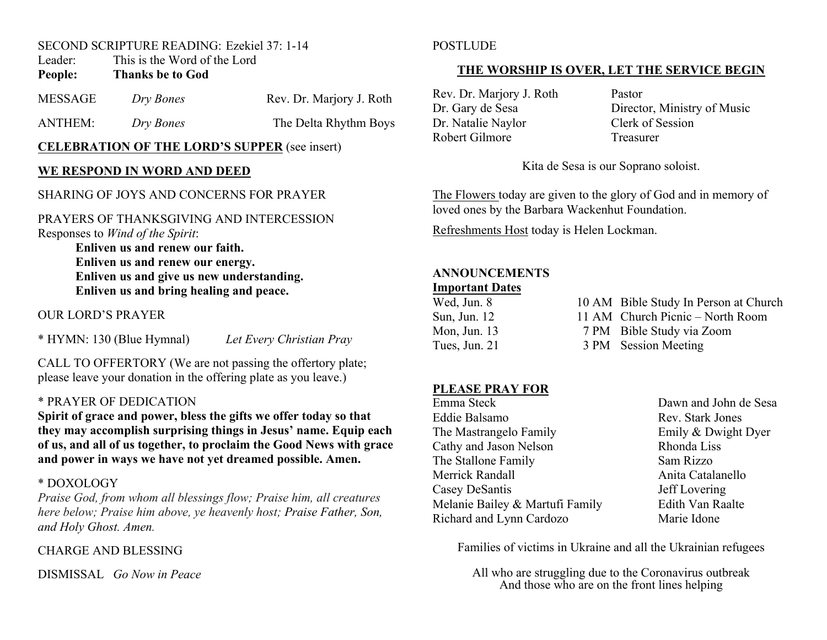## SECOND SCRIPTURE READING: Ezekiel 37: 1-14

Leader: This is the Word of the Lord

## **People: Thanks be to God**

| MESSAGE | Dry Bones | Rev. Dr. Marjory J. Roth |
|---------|-----------|--------------------------|
| ANTHEM: | Dry Bones | The Delta Rhythm Boys    |

## **CELEBRATION OF THE LORD'S SUPPER** (see insert)

## **WE RESPOND IN WORD AND DEED**

## SHARING OF JOYS AND CONCERNS FOR PRAYER

#### PRAYERS OF THANKSGIVING AND INTERCESSION Responses to *Wind of the Spirit*:

**Enliven us and renew our faith. Enliven us and renew our energy. Enliven us and give us new understanding. Enliven us and bring healing and peace.**

## OUR LORD'S PRAYER

\* HYMN: 130 (Blue Hymnal) *Let Every Christian Pray*

CALL TO OFFERTORY (We are not passing the offertory plate; please leave your donation in the offering plate as you leave.)

## \* PRAYER OF DEDICATION

**Spirit of grace and power, bless the gifts we offer today so that they may accomplish surprising things in Jesus' name. Equip each of us, and all of us together, to proclaim the Good News with grace and power in ways we have not yet dreamed possible. Amen.**

## \* DOXOLOGY

*Praise God, from whom all blessings flow; Praise him, all creatures here below; Praise him above, ye heavenly host; Praise Father, Son, and Holy Ghost. Amen.*

CHARGE AND BLESSING

DISMISSAL *Go Now in Peace*

## **POSTLUDE**

## **THE WORSHIP IS OVER, LET THE SERVICE BEGIN**

Rev. Dr. Marjory J. Roth Pastor<br>Dr. Gary de Sesa Directo Dr. Natalie Naylor Clerk of Session Robert Gilmore Treasurer

Director, Ministry of Music

Kita de Sesa is our Soprano soloist.

The Flowers today are given to the glory of God and in memory of loved ones by the Barbara Wackenhut Foundation.

Refreshments Host today is Helen Lockman.

## **ANNOUNCEMENTS Important Dates**

# Wed, Jun. 8 10 AM Bible Study In Person at Church Sun, Jun. 12 11 AM Church Picnic – North Room

Mon, Jun. 13 7 PM Bible Study via Zoom

Tues, Jun. 21 3 PM Session Meeting

## **PLEASE PRAY FOR**

Emma Steck Dawn and John de Sesa Eddie Balsamo Rev. Stark Jones The Mastrangelo Family **Emily & Dwight Dyer** Cathy and Jason Nelson Rhonda Liss The Stallone Family Sam Rizzo Merrick Randall **Anita Catalanello** Anita Catalanello Casey DeSantis Jeff Lovering Melanie Bailey & Martufi Family Edith Van Raalte Richard and Lynn Cardozo Marie Idone

Families of victims in Ukraine and all the Ukrainian refugees

All who are struggling due to the Coronavirus outbreak And those who are on the front lines helping